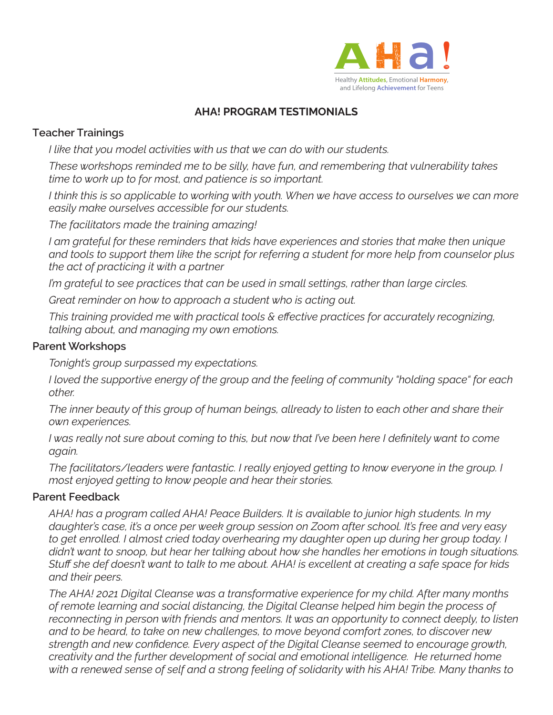

# **AHA! PROGRAM TESTIMONIALS**

# **Teacher Trainings**

*I like that you model activities with us that we can do with our students.*

*These workshops reminded me to be silly, have fun, and remembering that vulnerability takes time to work up to for most, and patience is so important.* 

I think this is so applicable to working with youth. When we have access to ourselves we can more *easily make ourselves accessible for our students.*

*The facilitators made the training amazing!*

*I am grateful for these reminders that kids have experiences and stories that make then unique and tools to support them like the script for referring a student for more help from counselor plus the act of practicing it with a partner*

*I'm grateful to see practices that can be used in small settings, rather than large circles.*

*Great reminder on how to approach a student who is acting out.*

*This training provided me with practical tools & effective practices for accurately recognizing, talking about, and managing my own emotions.*

## **Parent Workshops**

*Tonight's group surpassed my expectations.*

*I loved the supportive energy of the group and the feeling of community "holding space" for each other.*

*The inner beauty of this group of human beings, allready to listen to each other and share their own experiences.*

*I* was really not sure about coming to this, but now that I've been here I definitely want to come *again.*

*The facilitators/leaders were fantastic. I really enjoyed getting to know everyone in the group. I most enjoyed getting to know people and hear their stories.*

## **Parent Feedback**

*AHA! has a program called AHA! Peace Builders. It is available to junior high students. In my daughter's case, it's a once per week group session on Zoom after school. It's free and very easy to get enrolled. I almost cried today overhearing my daughter open up during her group today. I didn't want to snoop, but hear her talking about how she handles her emotions in tough situations. Stuff she def doesn't want to talk to me about. AHA! is excellent at creating a safe space for kids and their peers.*

*The AHA! 2021 Digital Cleanse was a transformative experience for my child. After many months of remote learning and social distancing, the Digital Cleanse helped him begin the process of reconnecting in person with friends and mentors. It was an opportunity to connect deeply, to listen and to be heard, to take on new challenges, to move beyond comfort zones, to discover new strength and new confidence. Every aspect of the Digital Cleanse seemed to encourage growth, creativity and the further development of social and emotional intelligence. He returned home with a renewed sense of self and a strong feeling of solidarity with his AHA! Tribe. Many thanks to*